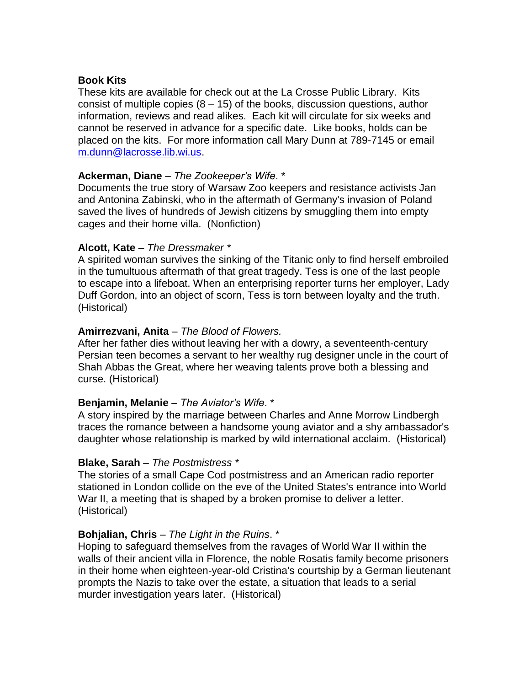## **Book Kits**

These kits are available for check out at the La Crosse Public Library. Kits consist of multiple copies  $(8 - 15)$  of the books, discussion questions, author information, reviews and read alikes. Each kit will circulate for six weeks and cannot be reserved in advance for a specific date. Like books, holds can be placed on the kits. For more information call Mary Dunn at 789-7145 or email [m.dunn@lacrosse.lib.wi.us.](mailto:m.dunn@lacrosse.lib.wi.us)

# **Ackerman, Diane** – *The Zookeeper's Wife*. \*

Documents the true story of Warsaw Zoo keepers and resistance activists Jan and Antonina Zabinski, who in the aftermath of Germany's invasion of Poland saved the lives of hundreds of Jewish citizens by smuggling them into empty cages and their home villa. (Nonfiction)

# **Alcott, Kate** – *The Dressmaker \**

A spirited woman survives the sinking of the Titanic only to find herself embroiled in the tumultuous aftermath of that great tragedy. Tess is one of the last people to escape into a lifeboat. When an enterprising reporter turns her employer, Lady Duff Gordon, into an object of scorn, Tess is torn between loyalty and the truth. (Historical)

# **Amirrezvani, Anita** – *The Blood of Flowers.*

After her father dies without leaving her with a dowry, a seventeenth-century Persian teen becomes a servant to her wealthy rug designer uncle in the court of Shah Abbas the Great, where her weaving talents prove both a blessing and curse. (Historical)

## **Benjamin, Melanie** – *The Aviator's Wife*. \*

A story inspired by the marriage between Charles and Anne Morrow Lindbergh traces the romance between a handsome young aviator and a shy ambassador's daughter whose relationship is marked by wild international acclaim. (Historical)

# **Blake, Sarah** – *The Postmistress \**

The stories of a small Cape Cod postmistress and an American radio reporter stationed in London collide on the eve of the United States's entrance into World War II, a meeting that is shaped by a broken promise to deliver a letter. (Historical)

# **Bohjalian, Chris** – *The Light in the Ruins*. \*

Hoping to safeguard themselves from the ravages of World War II within the walls of their ancient villa in Florence, the noble Rosatis family become prisoners in their home when eighteen-year-old Cristina's courtship by a German lieutenant prompts the Nazis to take over the estate, a situation that leads to a serial murder investigation years later. (Historical)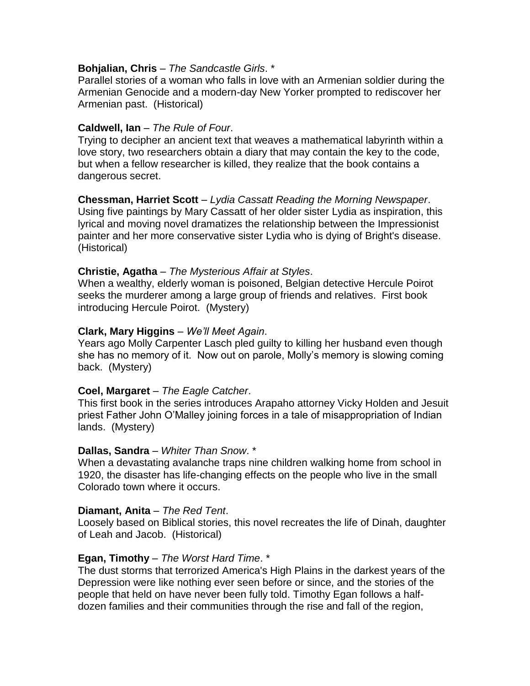## **Bohjalian, Chris** – *The Sandcastle Girls*. \*

Parallel stories of a woman who falls in love with an Armenian soldier during the Armenian Genocide and a modern-day New Yorker prompted to rediscover her Armenian past. (Historical)

# **Caldwell, Ian** – *The Rule of Four*.

Trying to decipher an ancient text that weaves a mathematical labyrinth within a love story, two researchers obtain a diary that may contain the key to the code, but when a fellow researcher is killed, they realize that the book contains a dangerous secret.

## **Chessman, Harriet Scott** – *Lydia Cassatt Reading the Morning Newspaper*. Using five paintings by Mary Cassatt of her older sister Lydia as inspiration, this lyrical and moving novel dramatizes the relationship between the Impressionist painter and her more conservative sister Lydia who is dying of Bright's disease. (Historical)

# **Christie, Agatha** – *The Mysterious Affair at Styles*.

When a wealthy, elderly woman is poisoned, Belgian detective Hercule Poirot seeks the murderer among a large group of friends and relatives. First book introducing Hercule Poirot. (Mystery)

# **Clark, Mary Higgins** – *We'll Meet Again*.

Years ago Molly Carpenter Lasch pled guilty to killing her husband even though she has no memory of it. Now out on parole, Molly's memory is slowing coming back. (Mystery)

## **Coel, Margaret** – *The Eagle Catcher*.

This first book in the series introduces Arapaho attorney Vicky Holden and Jesuit priest Father John O'Malley joining forces in a tale of misappropriation of Indian lands. (Mystery)

## **Dallas, Sandra** – *Whiter Than Snow*. \*

When a devastating avalanche traps nine children walking home from school in 1920, the disaster has life-changing effects on the people who live in the small Colorado town where it occurs.

## **Diamant, Anita** – *The Red Tent*.

Loosely based on Biblical stories, this novel recreates the life of Dinah, daughter of Leah and Jacob. (Historical)

## **Egan, Timothy** – *The Worst Hard Time*. \*

The dust storms that terrorized America's High Plains in the darkest years of the Depression were like nothing ever seen before or since, and the stories of the people that held on have never been fully told. Timothy Egan follows a halfdozen families and their communities through the rise and fall of the region,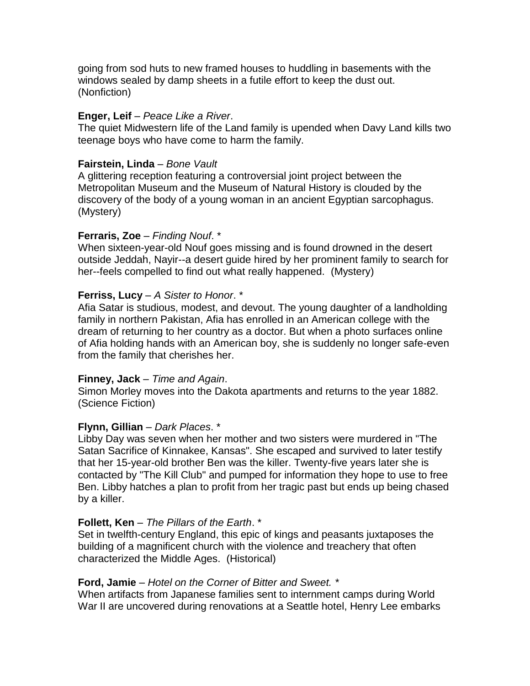going from sod huts to new framed houses to huddling in basements with the windows sealed by damp sheets in a futile effort to keep the dust out. (Nonfiction)

# **Enger, Leif** – *Peace Like a River*.

The quiet Midwestern life of the Land family is upended when Davy Land kills two teenage boys who have come to harm the family.

# **Fairstein, Linda** – *Bone Vault*

A glittering reception featuring a controversial joint project between the Metropolitan Museum and the Museum of Natural History is clouded by the discovery of the body of a young woman in an ancient Egyptian sarcophagus. (Mystery)

# **Ferraris, Zoe** – *Finding Nouf*. \*

When sixteen-year-old Nouf goes missing and is found drowned in the desert outside Jeddah, Nayir--a desert guide hired by her prominent family to search for her--feels compelled to find out what really happened. (Mystery)

# **Ferriss, Lucy** – *A Sister to Honor*. \*

Afia Satar is studious, modest, and devout. The young daughter of a landholding family in northern Pakistan, Afia has enrolled in an American college with the dream of returning to her country as a doctor. But when a photo surfaces online of Afia holding hands with an American boy, she is suddenly no longer safe-even from the family that cherishes her.

## **Finney, Jack** – *Time and Again*.

Simon Morley moves into the Dakota apartments and returns to the year 1882. (Science Fiction)

# **Flynn, Gillian** – *Dark Places*. \*

Libby Day was seven when her mother and two sisters were murdered in "The Satan Sacrifice of Kinnakee, Kansas". She escaped and survived to later testify that her 15-year-old brother Ben was the killer. Twenty-five years later she is contacted by "The Kill Club" and pumped for information they hope to use to free Ben. Libby hatches a plan to profit from her tragic past but ends up being chased by a killer.

## **Follett, Ken** – *The Pillars of the Earth*. \*

Set in twelfth-century England, this epic of kings and peasants juxtaposes the building of a magnificent church with the violence and treachery that often characterized the Middle Ages. (Historical)

## **Ford, Jamie** – *Hotel on the Corner of Bitter and Sweet. \**

When artifacts from Japanese families sent to internment camps during World War II are uncovered during renovations at a Seattle hotel, Henry Lee embarks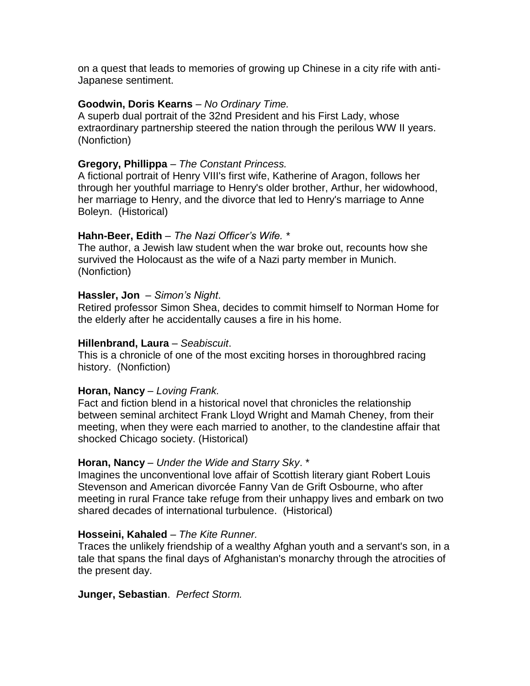on a quest that leads to memories of growing up Chinese in a city rife with anti-Japanese sentiment.

#### **Goodwin, Doris Kearns** – *No Ordinary Time.*

A superb dual portrait of the 32nd President and his First Lady, whose extraordinary partnership steered the nation through the perilous WW II years. (Nonfiction)

#### **Gregory, Phillippa** – *The Constant Princess.*

A fictional portrait of Henry VIII's first wife, Katherine of Aragon, follows her through her youthful marriage to Henry's older brother, Arthur, her widowhood, her marriage to Henry, and the divorce that led to Henry's marriage to Anne Boleyn. (Historical)

#### **Hahn-Beer, Edith** – *The Nazi Officer's Wife. \**

The author, a Jewish law student when the war broke out, recounts how she survived the Holocaust as the wife of a Nazi party member in Munich. (Nonfiction)

#### **Hassler, Jon** – *Simon's Night*.

Retired professor Simon Shea, decides to commit himself to Norman Home for the elderly after he accidentally causes a fire in his home.

## **Hillenbrand, Laura** – *Seabiscuit*.

This is a chronicle of one of the most exciting horses in thoroughbred racing history. (Nonfiction)

#### **Horan, Nancy** – *Loving Frank.*

Fact and fiction blend in a historical novel that chronicles the relationship between seminal architect Frank Lloyd Wright and Mamah Cheney, from their meeting, when they were each married to another, to the clandestine affair that shocked Chicago society. (Historical)

#### **Horan, Nancy** – *Under the Wide and Starry Sky*. \*

Imagines the unconventional love affair of Scottish literary giant Robert Louis Stevenson and American divorcée Fanny Van de Grift Osbourne, who after meeting in rural France take refuge from their unhappy lives and embark on two shared decades of international turbulence. (Historical)

#### **Hosseini, Kahaled** – *The Kite Runner.*

Traces the unlikely friendship of a wealthy Afghan youth and a servant's son, in a tale that spans the final days of Afghanistan's monarchy through the atrocities of the present day.

#### **Junger, Sebastian**. *Perfect Storm.*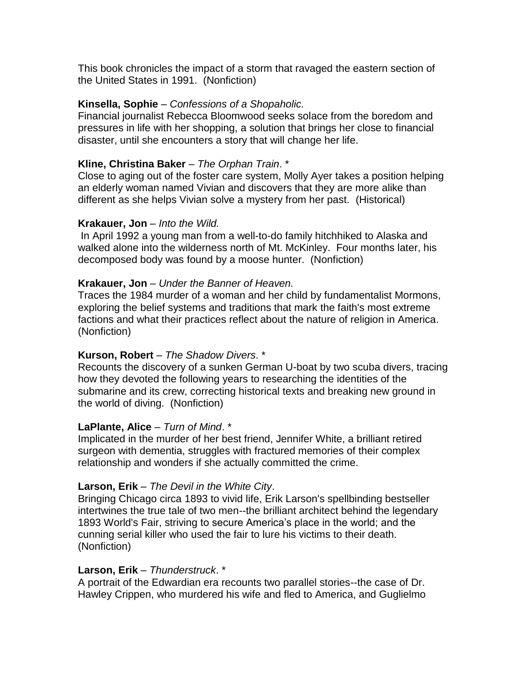This book chronicles the impact of a storm that ravaged the eastern section of the United States in 1991. (Nonfiction)

# **Kinsella, Sophie** – *Confessions of a Shopaholic.*

Financial journalist Rebecca Bloomwood seeks solace from the boredom and pressures in life with her shopping, a solution that brings her close to financial disaster, until she encounters a story that will change her life.

# **Kline, Christina Baker** – *The Orphan Train*. \*

Close to aging out of the foster care system, Molly Ayer takes a position helping an elderly woman named Vivian and discovers that they are more alike than different as she helps Vivian solve a mystery from her past. (Historical)

## **Krakauer, Jon** – *Into the Wild.*

In April 1992 a young man from a well-to-do family hitchhiked to Alaska and walked alone into the wilderness north of Mt. McKinley. Four months later, his decomposed body was found by a moose hunter. (Nonfiction)

# **Krakauer, Jon** – *Under the Banner of Heaven.*

Traces the 1984 murder of a woman and her child by fundamentalist Mormons, exploring the belief systems and traditions that mark the faith's most extreme factions and what their practices reflect about the nature of religion in America. (Nonfiction)

# **Kurson, Robert** – *The Shadow Divers*. \*

Recounts the discovery of a sunken German U-boat by two scuba divers, tracing how they devoted the following years to researching the identities of the submarine and its crew, correcting historical texts and breaking new ground in the world of diving. (Nonfiction)

## **LaPlante, Alice** – *Turn of Mind*. \*

Implicated in the murder of her best friend, Jennifer White, a brilliant retired surgeon with dementia, struggles with fractured memories of their complex relationship and wonders if she actually committed the crime.

# **Larson, Erik** – *The Devil in the White City*.

Bringing Chicago circa 1893 to vivid life, Erik Larson's spellbinding bestseller intertwines the true tale of two men--the brilliant architect behind the legendary 1893 World's Fair, striving to secure America's place in the world; and the cunning serial killer who used the fair to lure his victims to their death. (Nonfiction)

## **Larson, Erik** – *Thunderstruck*. \*

A portrait of the Edwardian era recounts two parallel stories--the case of Dr. Hawley Crippen, who murdered his wife and fled to America, and Guglielmo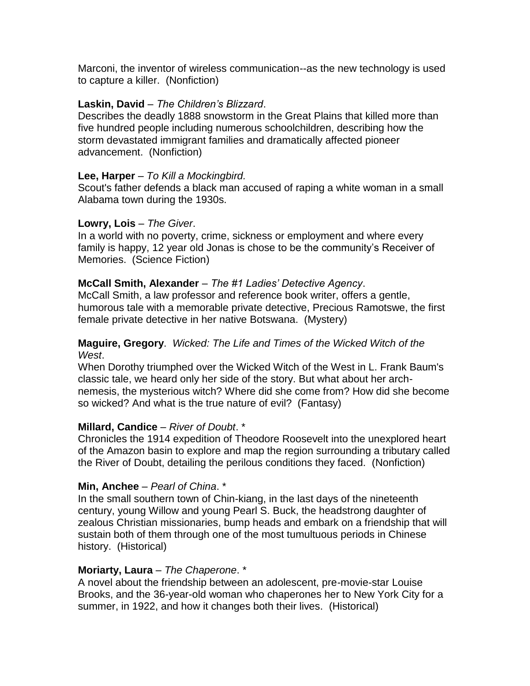Marconi, the inventor of wireless communication--as the new technology is used to capture a killer. (Nonfiction)

# **Laskin, David** – *The Children's Blizzard*.

Describes the deadly 1888 snowstorm in the Great Plains that killed more than five hundred people including numerous schoolchildren, describing how the storm devastated immigrant families and dramatically affected pioneer advancement. (Nonfiction)

# **Lee, Harper** – *To Kill a Mockingbird.*

Scout's father defends a black man accused of raping a white woman in a small Alabama town during the 1930s.

# **Lowry, Lois** – *The Giver*.

In a world with no poverty, crime, sickness or employment and where every family is happy, 12 year old Jonas is chose to be the community's Receiver of Memories. (Science Fiction)

# **McCall Smith, Alexander** – *The #1 Ladies' Detective Agency*.

McCall Smith, a law professor and reference book writer, offers a gentle, humorous tale with a memorable private detective, Precious Ramotswe, the first female private detective in her native Botswana. (Mystery)

# **Maguire, Gregory**. *Wicked: The Life and Times of the Wicked Witch of the West*.

When Dorothy triumphed over the Wicked Witch of the West in L. Frank Baum's classic tale, we heard only her side of the story. But what about her archnemesis, the mysterious witch? Where did she come from? How did she become so wicked? And what is the true nature of evil? (Fantasy)

# **Millard, Candice** – *River of Doubt*. \*

Chronicles the 1914 expedition of Theodore Roosevelt into the unexplored heart of the Amazon basin to explore and map the region surrounding a tributary called the River of Doubt, detailing the perilous conditions they faced. (Nonfiction)

## **Min, Anchee** – *Pearl of China*. \*

In the small southern town of Chin-kiang, in the last days of the nineteenth century, young Willow and young Pearl S. Buck, the headstrong daughter of zealous Christian missionaries, bump heads and embark on a friendship that will sustain both of them through one of the most tumultuous periods in Chinese history. (Historical)

# **Moriarty, Laura** – *The Chaperone*. \*

A novel about the friendship between an adolescent, pre-movie-star Louise Brooks, and the 36-year-old woman who chaperones her to New York City for a summer, in 1922, and how it changes both their lives. (Historical)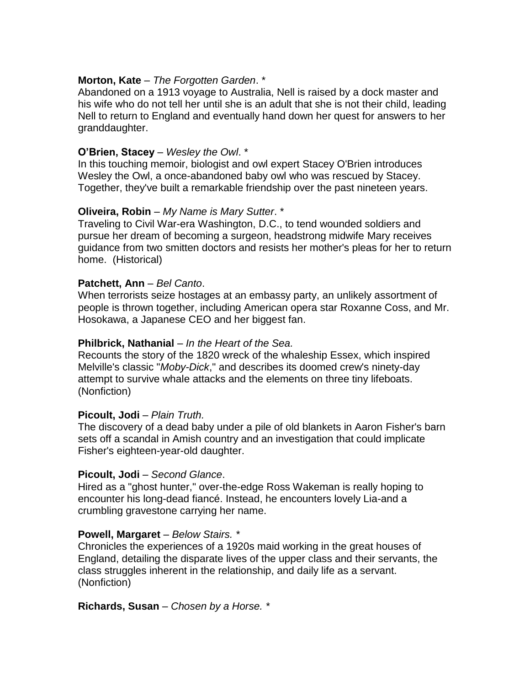# **Morton, Kate** – *The Forgotten Garden*. \*

Abandoned on a 1913 voyage to Australia, Nell is raised by a dock master and his wife who do not tell her until she is an adult that she is not their child, leading Nell to return to England and eventually hand down her quest for answers to her granddaughter.

# **O'Brien, Stacey** – *Wesley the Owl*. \*

In this touching memoir, biologist and owl expert Stacey O'Brien introduces Wesley the Owl, a once-abandoned baby owl who was rescued by Stacey. Together, they've built a remarkable friendship over the past nineteen years.

# **Oliveira, Robin** – *My Name is Mary Sutter*. \*

Traveling to Civil War-era Washington, D.C., to tend wounded soldiers and pursue her dream of becoming a surgeon, headstrong midwife Mary receives guidance from two smitten doctors and resists her mother's pleas for her to return home. (Historical)

## **Patchett, Ann** – *Bel Canto*.

When terrorists seize hostages at an embassy party, an unlikely assortment of people is thrown together, including American opera star Roxanne Coss, and Mr. Hosokawa, a Japanese CEO and her biggest fan.

## **Philbrick, Nathanial** – *In the Heart of the Sea.*

Recounts the story of the 1820 wreck of the whaleship Essex, which inspired Melville's classic "*Moby-Dick*," and describes its doomed crew's ninety-day attempt to survive whale attacks and the elements on three tiny lifeboats. (Nonfiction)

## **Picoult, Jodi** – *Plain Truth.*

The discovery of a dead baby under a pile of old blankets in Aaron Fisher's barn sets off a scandal in Amish country and an investigation that could implicate Fisher's eighteen-year-old daughter.

## **Picoult, Jodi** – *Second Glance*.

Hired as a "ghost hunter," over-the-edge Ross Wakeman is really hoping to encounter his long-dead fiancé. Instead, he encounters lovely Lia-and a crumbling gravestone carrying her name.

## **Powell, Margaret** – *Below Stairs. \**

Chronicles the experiences of a 1920s maid working in the great houses of England, detailing the disparate lives of the upper class and their servants, the class struggles inherent in the relationship, and daily life as a servant. (Nonfiction)

## **Richards, Susan** – *Chosen by a Horse. \**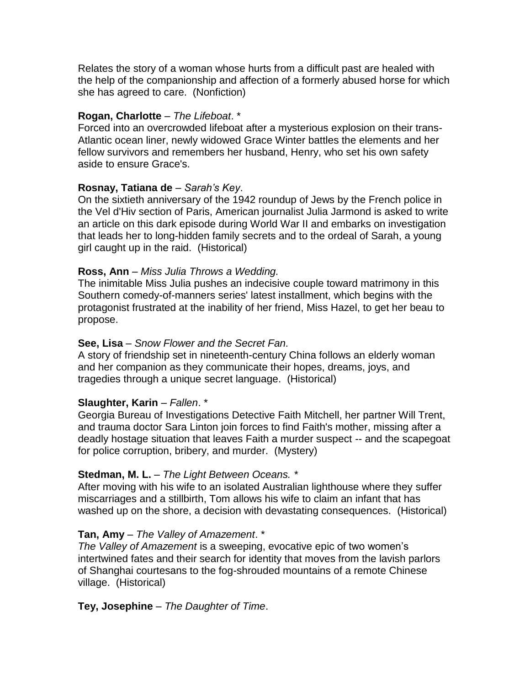Relates the story of a woman whose hurts from a difficult past are healed with the help of the companionship and affection of a formerly abused horse for which she has agreed to care. (Nonfiction)

# **Rogan, Charlotte** – *The Lifeboat*. \*

Forced into an overcrowded lifeboat after a mysterious explosion on their trans-Atlantic ocean liner, newly widowed Grace Winter battles the elements and her fellow survivors and remembers her husband, Henry, who set his own safety aside to ensure Grace's.

# **Rosnay, Tatiana de** – *Sarah's Key*.

On the sixtieth anniversary of the 1942 roundup of Jews by the French police in the Vel d'Hiv section of Paris, American journalist Julia Jarmond is asked to write an article on this dark episode during World War II and embarks on investigation that leads her to long-hidden family secrets and to the ordeal of Sarah, a young girl caught up in the raid. (Historical)

# **Ross, Ann** – *Miss Julia Throws a Wedding.*

The inimitable Miss Julia pushes an indecisive couple toward matrimony in this Southern comedy-of-manners series' latest installment, which begins with the protagonist frustrated at the inability of her friend, Miss Hazel, to get her beau to propose.

# **See, Lisa** – *Snow Flower and the Secret Fan.*

A story of friendship set in nineteenth-century China follows an elderly woman and her companion as they communicate their hopes, dreams, joys, and tragedies through a unique secret language. (Historical)

# **Slaughter, Karin** – *Fallen*. \*

Georgia Bureau of Investigations Detective Faith Mitchell, her partner Will Trent, and trauma doctor Sara Linton join forces to find Faith's mother, missing after a deadly hostage situation that leaves Faith a murder suspect -- and the scapegoat for police corruption, bribery, and murder. (Mystery)

# **Stedman, M. L.** – *The Light Between Oceans. \**

After moving with his wife to an isolated Australian lighthouse where they suffer miscarriages and a stillbirth, Tom allows his wife to claim an infant that has washed up on the shore, a decision with devastating consequences. (Historical)

# **Tan, Amy** – *The Valley of Amazement*. \*

*The Valley of Amazement* is a sweeping, evocative epic of two women's intertwined fates and their search for identity that moves from the lavish parlors of Shanghai courtesans to the fog-shrouded mountains of a remote Chinese village. (Historical)

# **Tey, Josephine** – *The Daughter of Time*.